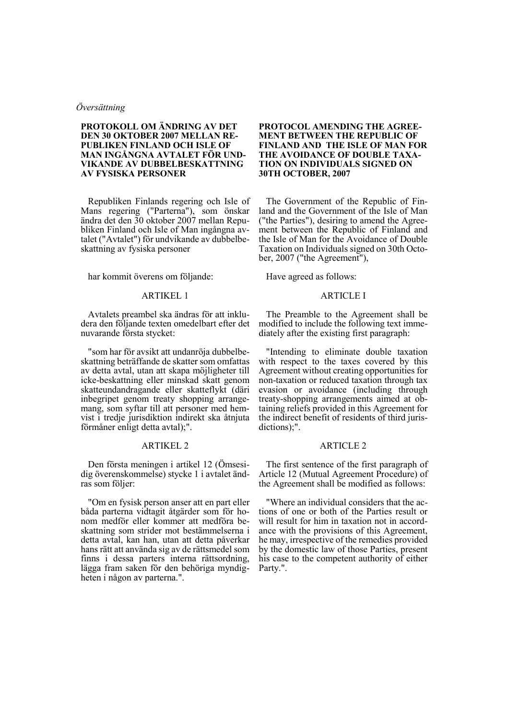# *Översättning*

# **PROTOKOLL OM ÄNDRING AV DET DEN 30 OKTOBER 2007 MELLAN RE-PUBLIKEN FINLAND OCH ISLE OF MAN INGÅNGNA AVTALET FÖR UND-VIKANDE AV DUBBELBESKATTNING AV FYSISKA PERSONER**

Republiken Finlands regering och Isle of Mans regering ("Parterna"), som önskar ändra det den 30 oktober 2007 mellan Republiken Finland och Isle of Man ingångna avtalet ("Avtalet") för undvikande av dubbelbeskattning av fysiska personer

har kommit överens om följande:

# ARTIKEL 1

Avtalets preambel ska ändras för att inkludera den följande texten omedelbart efter det nuvarande första stycket:

"som har för avsikt att undanröja dubbelbeskattning beträffande de skatter som omfattas av detta avtal, utan att skapa möjligheter till icke-beskattning eller minskad skatt genom skatteundandragande eller skatteflykt (däri inbegripet genom treaty shopping arrangemang, som syftar till att personer med hemvist i tredje jurisdiktion indirekt ska åtnjuta förmåner enligt detta avtal);".

## ARTIKEL 2

Den första meningen i artikel 12 (Ömsesidig överenskommelse) stycke 1 i avtalet ändras som följer:

"Om en fysisk person anser att en part eller båda parterna vidtagit åtgärder som för honom medför eller kommer att medföra beskattning som strider mot bestämmelserna i detta avtal, kan han, utan att detta påverkar hans rätt att använda sig av de rättsmedel som finns i dessa parters interna rättsordning, lägga fram saken för den behöriga myndigheten i någon av parterna.".

## **PROTOCOL AMENDING THE AGREE-MENT BETWEEN THE REPUBLIC OF FINLAND AND THE ISLE OF MAN FOR THE AVOIDANCE OF DOUBLE TAXA-TION ON INDIVIDUALS SIGNED ON 30TH OCTOBER, 2007**

The Government of the Republic of Finland and the Government of the Isle of Man ("the Parties"), desiring to amend the Agreement between the Republic of Finland and the Isle of Man for the Avoidance of Double Taxation on Individuals signed on 30th October, 2007 ("the Agreement"),

Have agreed as follows:

# ARTICLE I

The Preamble to the Agreement shall be modified to include the following text immediately after the existing first paragraph:

"Intending to eliminate double taxation with respect to the taxes covered by this Agreement without creating opportunities for non-taxation or reduced taxation through tax evasion or avoidance (including through treaty-shopping arrangements aimed at obtaining reliefs provided in this Agreement for the indirect benefit of residents of third jurisdictions);".

## ARTICLE 2

The first sentence of the first paragraph of Article 12 (Mutual Agreement Procedure) of the Agreement shall be modified as follows:

"Where an individual considers that the actions of one or both of the Parties result or will result for him in taxation not in accordance with the provisions of this Agreement, he may, irrespective of the remedies provided by the domestic law of those Parties, present his case to the competent authority of either Party.".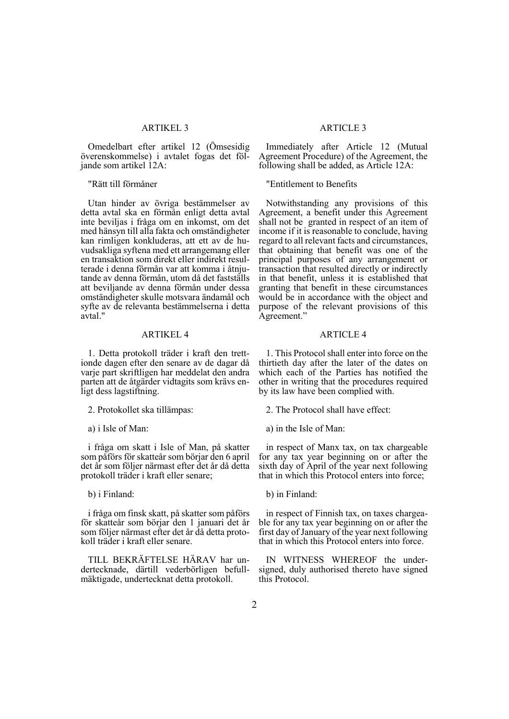# ARTIKEL 3

Omedelbart efter artikel 12 (Ömsesidig överenskommelse) i avtalet fogas det följande som artikel 12A:

### "Rätt till förmåner

Utan hinder av övriga bestämmelser av detta avtal ska en förmån enligt detta avtal inte beviljas i fråga om en inkomst, om det med hänsyn till alla fakta och omständigheter kan rimligen konkluderas, att ett av de huvudsakliga syftena med ett arrangemang eller en transaktion som direkt eller indirekt resulterade i denna förmån var att komma i åtnjutande av denna förmån, utom då det fastställs att beviljande av denna förmån under dessa omständigheter skulle motsvara ändamål och syfte av de relevanta bestämmelserna i detta avtal."

# ARTIKEL 4

1. Detta protokoll träder i kraft den trettionde dagen efter den senare av de dagar då varje part skriftligen har meddelat den andra parten att de åtgärder vidtagits som krävs enligt dess lagstiftning.

2. Protokollet ska tillämpas:

a) i Isle of Man:

i fråga om skatt i Isle of Man, på skatter som påförs för skatteår som börjar den 6 april det år som följer närmast efter det år då detta protokoll träder i kraft eller senare;

b) i Finland:

i fråga om finsk skatt, på skatter som påförs för skatteår som börjar den 1 januari det år som följer närmast efter det år då detta protokoll träder i kraft eller senare.

TILL BEKRÄFTELSE HÄRAV har undertecknade, därtill vederbörligen befullmäktigade, undertecknat detta protokoll.

# ARTICLE 3

Immediately after Article 12 (Mutual Agreement Procedure) of the Agreement, the following shall be added, as Article 12A:

"Entitlement to Benefits

Notwithstanding any provisions of this Agreement, a benefit under this Agreement shall not be granted in respect of an item of income if it is reasonable to conclude, having regard to all relevant facts and circumstances, that obtaining that benefit was one of the principal purposes of any arrangement or transaction that resulted directly or indirectly in that benefit, unless it is established that granting that benefit in these circumstances would be in accordance with the object and purpose of the relevant provisions of this Agreement."

### ARTICLE 4

1. This Protocol shall enter into force on the thirtieth day after the later of the dates on which each of the Parties has notified the other in writing that the procedures required by its law have been complied with.

2. The Protocol shall have effect:

a) in the Isle of Man:

in respect of Manx tax, on tax chargeable for any tax year beginning on or after the sixth day of April of the year next following that in which this Protocol enters into force;

b) in Finland:

in respect of Finnish tax, on taxes chargeable for any tax year beginning on or after the first day of January of the year next following that in which this Protocol enters into force.

IN WITNESS WHEREOF the undersigned, duly authorised thereto have signed this Protocol.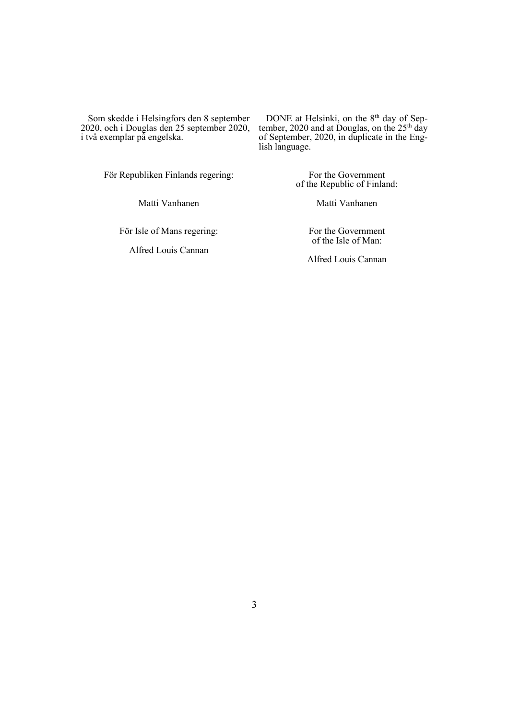Som skedde i Helsingfors den 8 september 2020, och i Douglas den 25 september 2020, i två exemplar på engelska.

DONE at Helsinki, on the 8<sup>th</sup> day of September, 2020 and at Douglas, on the  $25<sup>th</sup>$  day of September, 2020, in duplicate in the English language.

För Republiken Finlands regering:

Matti Vanhanen

of the Republic of Finland: Matti Vanhanen

For the Government

För Isle of Mans regering:

Alfred Louis Cannan

For the Government of the Isle of Man:

Alfred Louis Cannan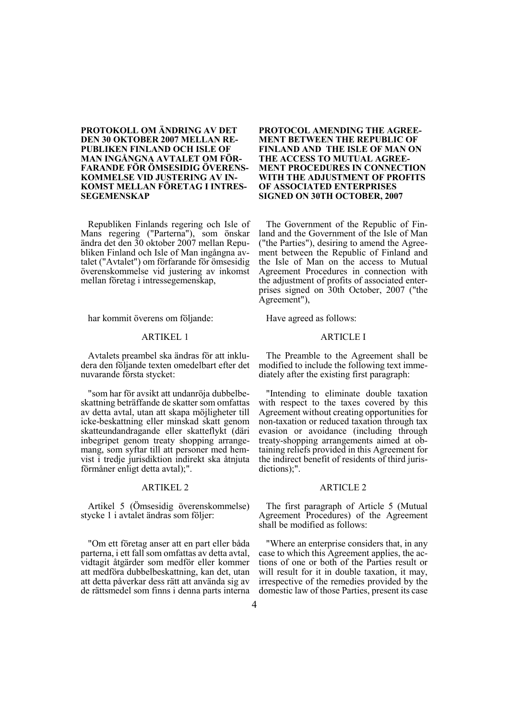# **PROTOKOLL OM ÄNDRING AV DET DEN 30 OKTOBER 2007 MELLAN RE-PUBLIKEN FINLAND OCH ISLE OF MAN INGÅNGNA AVTALET OM FÖR-FARANDE FÖR ÖMSESIDIG ÖVERENS-KOMMELSE VID JUSTERING AV IN-KOMST MELLAN FÖRETAG I INTRES-SEGEMENSKAP**

Republiken Finlands regering och Isle of Mans regering ("Parterna"), som önskar ändra det den 30 oktober 2007 mellan Republiken Finland och Isle of Man ingångna avtalet ("Avtalet") om förfarande för ömsesidig överenskommelse vid justering av inkomst mellan företag i intressegemenskap,

har kommit överens om följande:

#### ARTIKEL 1

Avtalets preambel ska ändras för att inkludera den följande texten omedelbart efter det nuvarande första stycket:

"som har för avsikt att undanröja dubbelbeskattning beträffande de skatter som omfattas av detta avtal, utan att skapa möjligheter till icke-beskattning eller minskad skatt genom skatteundandragande eller skatteflykt (däri inbegripet genom treaty shopping arrangemang, som syftar till att personer med hemvist i tredje jurisdiktion indirekt ska åtnjuta förmåner enligt detta avtal);".

# ARTIKEL 2

Artikel 5 (Ömsesidig överenskommelse) stycke 1 i avtalet ändras som följer:

"Om ett företag anser att en part eller båda parterna, i ett fall som omfattas av detta avtal, vidtagit åtgärder som medför eller kommer att medföra dubbelbeskattning, kan det, utan att detta påverkar dess rätt att använda sig av de rättsmedel som finns i denna parts interna

## **PROTOCOL AMENDING THE AGREE-MENT BETWEEN THE REPUBLIC OF FINLAND AND THE ISLE OF MAN ON THE ACCESS TO MUTUAL AGREE-MENT PROCEDURES IN CONNECTION WITH THE ADJUSTMENT OF PROFITS OF ASSOCIATED ENTERPRISES SIGNED ON 30TH OCTOBER, 2007**

The Government of the Republic of Finland and the Government of the Isle of Man ("the Parties"), desiring to amend the Agreement between the Republic of Finland and the Isle of Man on the access to Mutual Agreement Procedures in connection with the adjustment of profits of associated enterprises signed on 30th October, 2007 ("the Agreement"),

Have agreed as follows:

#### ARTICLE I

The Preamble to the Agreement shall be modified to include the following text immediately after the existing first paragraph:

"Intending to eliminate double taxation with respect to the taxes covered by this Agreement without creating opportunities for non-taxation or reduced taxation through tax evasion or avoidance (including through treaty-shopping arrangements aimed at obtaining reliefs provided in this Agreement for the indirect benefit of residents of third jurisdictions);".

#### ARTICLE 2

The first paragraph of Article 5 (Mutual Agreement Procedures) of the Agreement shall be modified as follows:

"Where an enterprise considers that, in any case to which this Agreement applies, the actions of one or both of the Parties result or will result for it in double taxation, it may, irrespective of the remedies provided by the domestic law of those Parties, present its case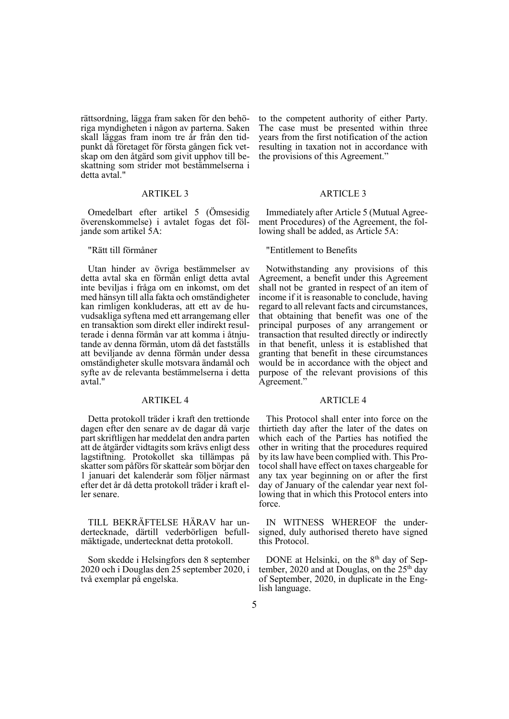rättsordning, lägga fram saken för den behöriga myndigheten i någon av parterna. Saken skall läggas fram inom tre år från den tidpunkt då företaget för första gången fick vetskap om den åtgärd som givit upphov till beskattning som strider mot bestämmelserna i detta avtal."

### ARTIKEL 3

Omedelbart efter artikel 5 (Ömsesidig överenskommelse) i avtalet fogas det följande som artikel 5A:

### "Rätt till förmåner

Utan hinder av övriga bestämmelser av detta avtal ska en förmån enligt detta avtal inte beviljas i fråga om en inkomst, om det med hänsyn till alla fakta och omständigheter kan rimligen konkluderas, att ett av de huvudsakliga syftena med ett arrangemang eller en transaktion som direkt eller indirekt resulterade i denna förmån var att komma i åtnjutande av denna förmån, utom då det fastställs att beviljande av denna förmån under dessa omständigheter skulle motsvara ändamål och syfte av de relevanta bestämmelserna i detta avtal."

### ARTIKEL 4

Detta protokoll träder i kraft den trettionde dagen efter den senare av de dagar då varje part skriftligen har meddelat den andra parten att de åtgärder vidtagits som krävs enligt dess lagstiftning. Protokollet ska tillämpas på skatter som påförs för skatteår som börjar den 1 januari det kalenderår som följer närmast efter det år då detta protokoll träder i kraft eller senare.

TILL BEKRÄFTELSE HÄRAV har undertecknade, därtill vederbörligen befullmäktigade, undertecknat detta protokoll.

Som skedde i Helsingfors den 8 september 2020 och i Douglas den 25 september 2020, i två exemplar på engelska.

to the competent authority of either Party. The case must be presented within three years from the first notification of the action resulting in taxation not in accordance with the provisions of this Agreement."

### ARTICLE 3

Immediately after Article 5 (Mutual Agreement Procedures) of the Agreement, the following shall be added, as Article 5A:

### "Entitlement to Benefits

Notwithstanding any provisions of this Agreement, a benefit under this Agreement shall not be granted in respect of an item of income if it is reasonable to conclude, having regard to all relevant facts and circumstances, that obtaining that benefit was one of the principal purposes of any arrangement or transaction that resulted directly or indirectly in that benefit, unless it is established that granting that benefit in these circumstances would be in accordance with the object and purpose of the relevant provisions of this Agreement."

### ARTICLE 4

This Protocol shall enter into force on the thirtieth day after the later of the dates on which each of the Parties has notified the other in writing that the procedures required by its law have been complied with. This Protocol shall have effect on taxes chargeable for any tax year beginning on or after the first day of January of the calendar year next following that in which this Protocol enters into force.

IN WITNESS WHEREOF the undersigned, duly authorised thereto have signed this Protocol.

DONE at Helsinki, on the 8<sup>th</sup> day of September, 2020 and at Douglas, on the 25<sup>th</sup> day of September, 2020, in duplicate in the English language.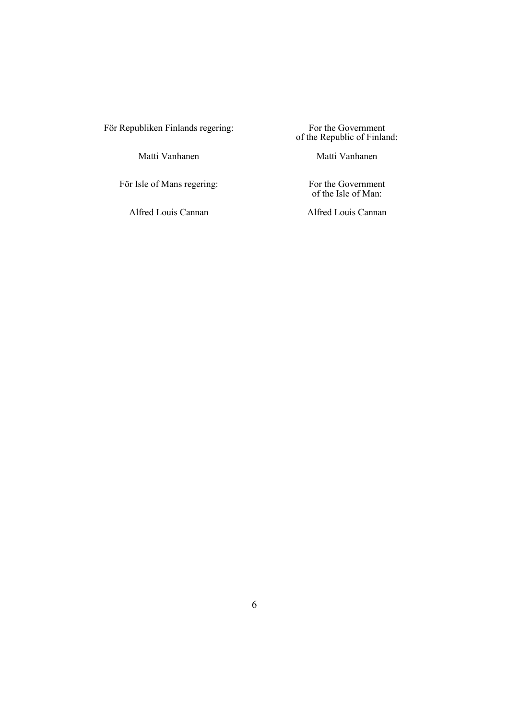För Republiken Finlands regering:

Matti Vanhanen

För Isle of Mans regering:

Alfred Louis Cannan

For the Government of the Republic of Finland:

Matti Vanhanen

For the Government of the Isle of Man:

Alfred Louis Cannan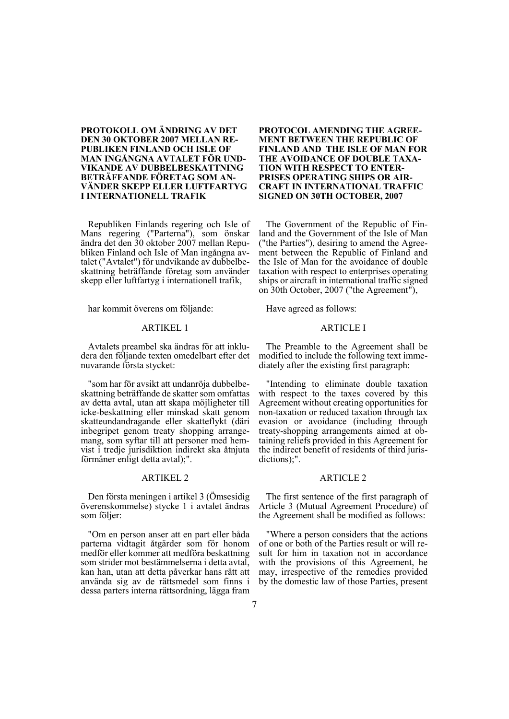# **PROTOKOLL OM ÄNDRING AV DET DEN 30 OKTOBER 2007 MELLAN RE-PUBLIKEN FINLAND OCH ISLE OF MAN INGÅNGNA AVTALET FÖR UND-VIKANDE AV DUBBELBESKATTNING BETRÄFFANDE FÖRETAG SOM AN-VÄNDER SKEPP ELLER LUFTFARTYG I INTERNATIONELL TRAFIK**

Republiken Finlands regering och Isle of Mans regering ("Parterna"), som önskar ändra det den 30 oktober 2007 mellan Republiken Finland och Isle of Man ingångna avtalet ("Avtalet") för undvikande av dubbelbeskattning beträffande företag som använder skepp eller luftfartyg i internationell trafik,

har kommit överens om följande:

### ARTIKEL 1

Avtalets preambel ska ändras för att inkludera den följande texten omedelbart efter det nuvarande första stycket:

"som har för avsikt att undanröja dubbelbeskattning beträffande de skatter som omfattas av detta avtal, utan att skapa möjligheter till icke-beskattning eller minskad skatt genom skatteundandragande eller skatteflykt (däri inbegripet genom treaty shopping arrangemang, som syftar till att personer med hemvist i tredje jurisdiktion indirekt ska åtnjuta förmåner enligt detta avtal);".

## ARTIKEL 2

Den första meningen i artikel 3 (Ömsesidig överenskommelse) stycke 1 i avtalet ändras som följer:

"Om en person anser att en part eller båda parterna vidtagit åtgärder som för honom medför eller kommer att medföra beskattning som strider mot bestämmelserna i detta avtal, kan han, utan att detta påverkar hans rätt att använda sig av de rättsmedel som finns i dessa parters interna rättsordning, lägga fram

## **PROTOCOL AMENDING THE AGREE-MENT BETWEEN THE REPUBLIC OF FINLAND AND THE ISLE OF MAN FOR THE AVOIDANCE OF DOUBLE TAXA-TION WITH RESPECT TO ENTER-PRISES OPERATING SHIPS OR AIR-CRAFT IN INTERNATIONAL TRAFFIC SIGNED ON 30TH OCTOBER, 2007**

The Government of the Republic of Finland and the Government of the Isle of Man ("the Parties"), desiring to amend the Agreement between the Republic of Finland and the Isle of Man for the avoidance of double taxation with respect to enterprises operating ships or aircraft in international traffic signed on 30th October, 2007 ("the Agreement"),

Have agreed as follows:

#### ARTICLE I

The Preamble to the Agreement shall be modified to include the following text immediately after the existing first paragraph:

"Intending to eliminate double taxation with respect to the taxes covered by this Agreement without creating opportunities for non-taxation or reduced taxation through tax evasion or avoidance (including through treaty-shopping arrangements aimed at obtaining reliefs provided in this Agreement for the indirect benefit of residents of third jurisdictions);".

## ARTICLE 2

The first sentence of the first paragraph of Article 3 (Mutual Agreement Procedure) of the Agreement shall be modified as follows:

"Where a person considers that the actions of one or both of the Parties result or will result for him in taxation not in accordance with the provisions of this Agreement, he may, irrespective of the remedies provided by the domestic law of those Parties, present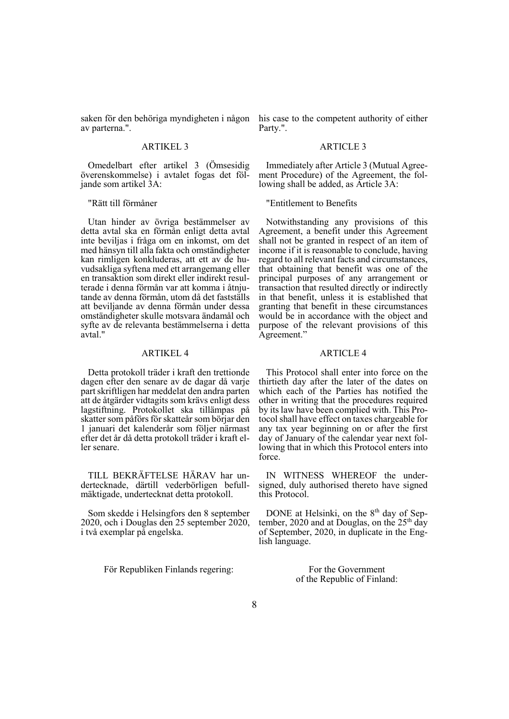saken för den behöriga myndigheten i någon his case to the competent authority of either av parterna.".

# ARTIKEL 3

Omedelbart efter artikel 3 (Ömsesidig överenskommelse) i avtalet fogas det följande som artikel 3A:

"Rätt till förmåner

Utan hinder av övriga bestämmelser av detta avtal ska en förmån enligt detta avtal inte beviljas i fråga om en inkomst, om det med hänsyn till alla fakta och omständigheter kan rimligen konkluderas, att ett av de huvudsakliga syftena med ett arrangemang eller en transaktion som direkt eller indirekt resulterade i denna förmån var att komma i åtnjutande av denna förmån, utom då det fastställs att beviljande av denna förmån under dessa omständigheter skulle motsvara ändamål och syfte av de relevanta bestämmelserna i detta avtal."

### ARTIKEL 4

Detta protokoll träder i kraft den trettionde dagen efter den senare av de dagar då varje part skriftligen har meddelat den andra parten att de åtgärder vidtagits som krävs enligt dess lagstiftning. Protokollet ska tillämpas på skatter som påförs för skatteår som börjar den 1 januari det kalenderår som följer närmast efter det år då detta protokoll träder i kraft eller senare.

TILL BEKRÄFTELSE HÄRAV har undertecknade, därtill vederbörligen befullmäktigade, undertecknat detta protokoll.

Som skedde i Helsingfors den 8 september 2020, och i Douglas den 25 september 2020, i två exemplar på engelska.

För Republiken Finlands regering:

Party.".

### ARTICLE 3

Immediately after Article 3 (Mutual Agreement Procedure) of the Agreement, the following shall be added, as Article 3A:

"Entitlement to Benefits

Notwithstanding any provisions of this Agreement, a benefit under this Agreement shall not be granted in respect of an item of income if it is reasonable to conclude, having regard to all relevant facts and circumstances, that obtaining that benefit was one of the principal purposes of any arrangement or transaction that resulted directly or indirectly in that benefit, unless it is established that granting that benefit in these circumstances would be in accordance with the object and purpose of the relevant provisions of this Agreement."

### ARTICLE 4

This Protocol shall enter into force on the thirtieth day after the later of the dates on which each of the Parties has notified the other in writing that the procedures required by its law have been complied with. This Protocol shall have effect on taxes chargeable for any tax year beginning on or after the first day of January of the calendar year next following that in which this Protocol enters into force.

IN WITNESS WHEREOF the undersigned, duly authorised thereto have signed this Protocol.

DONE at Helsinki, on the 8<sup>th</sup> day of September, 2020 and at Douglas, on the  $25<sup>th</sup>$  day of September, 2020, in duplicate in the English language.

> For the Government of the Republic of Finland: